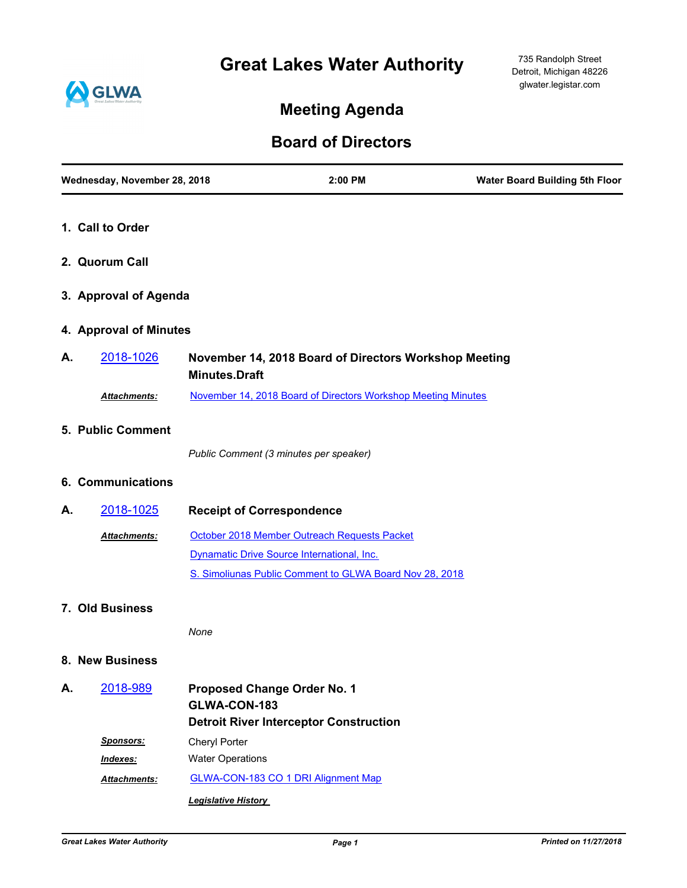# **Great Lakes Water Authority**



# **Meeting Agenda**

## **Board of Directors**

|    | Wednesday, November 28, 2018 |                                                    | 2:00 PM                                                       | <b>Water Board Building 5th Floor</b> |
|----|------------------------------|----------------------------------------------------|---------------------------------------------------------------|---------------------------------------|
|    | 1. Call to Order             |                                                    |                                                               |                                       |
|    | 2. Quorum Call               |                                                    |                                                               |                                       |
|    | 3. Approval of Agenda        |                                                    |                                                               |                                       |
|    | 4. Approval of Minutes       |                                                    |                                                               |                                       |
| А. | 2018-1026                    | <b>Minutes.Draft</b>                               | November 14, 2018 Board of Directors Workshop Meeting         |                                       |
|    | Attachments:                 |                                                    | November 14, 2018 Board of Directors Workshop Meeting Minutes |                                       |
|    | 5. Public Comment            |                                                    |                                                               |                                       |
|    |                              | Public Comment (3 minutes per speaker)             |                                                               |                                       |
|    | 6. Communications            |                                                    |                                                               |                                       |
| А. | 2018-1025                    | <b>Receipt of Correspondence</b>                   |                                                               |                                       |
|    | Attachments:                 |                                                    | October 2018 Member Outreach Requests Packet                  |                                       |
|    |                              |                                                    | Dynamatic Drive Source International, Inc.                    |                                       |
|    |                              |                                                    | S. Simoliunas Public Comment to GLWA Board Nov 28, 2018       |                                       |
|    | 7. Old Business              |                                                    |                                                               |                                       |
|    |                              | None                                               |                                                               |                                       |
|    | 8. New Business              |                                                    |                                                               |                                       |
| А. | 2018-989                     | <b>Proposed Change Order No. 1</b><br>GLWA-CON-183 |                                                               |                                       |
|    |                              |                                                    | <b>Detroit River Interceptor Construction</b>                 |                                       |
|    | Sponsors:                    | Cheryl Porter                                      |                                                               |                                       |
|    | Indexes:                     | <b>Water Operations</b>                            |                                                               |                                       |
|    | <b>Attachments:</b>          |                                                    | <b>GLWA-CON-183 CO 1 DRI Alignment Map</b>                    |                                       |
|    |                              | <b>Legislative History</b>                         |                                                               |                                       |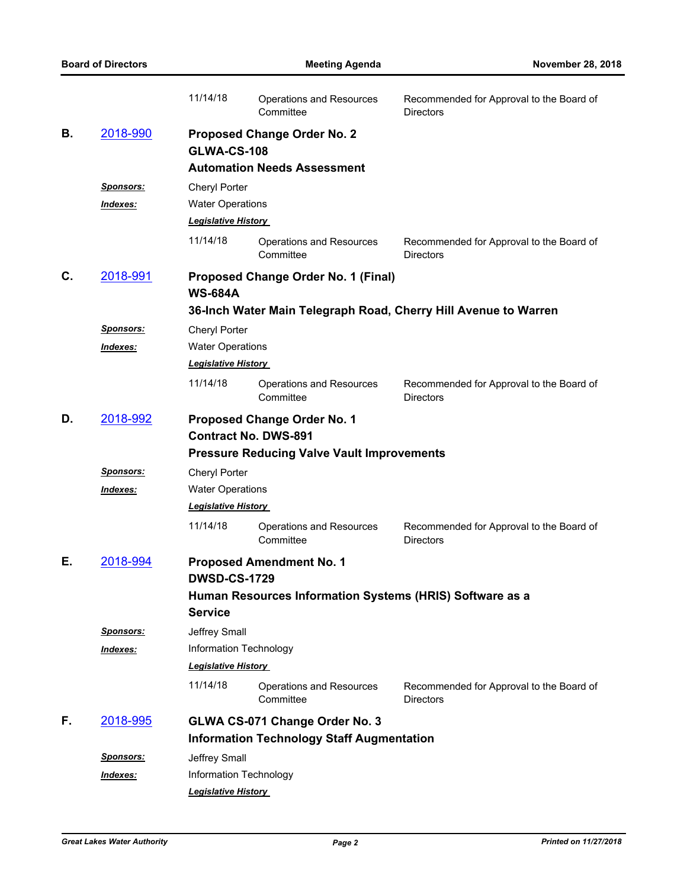|    | <b>Board of Directors</b>                                |                                                                 | <b>Meeting Agenda</b>                             | <b>November 28, 2018</b>                                     |  |  |  |  |  |
|----|----------------------------------------------------------|-----------------------------------------------------------------|---------------------------------------------------|--------------------------------------------------------------|--|--|--|--|--|
|    |                                                          | 11/14/18                                                        | Operations and Resources<br>Committee             | Recommended for Approval to the Board of<br><b>Directors</b> |  |  |  |  |  |
| В. | 2018-990                                                 |                                                                 | <b>Proposed Change Order No. 2</b>                |                                                              |  |  |  |  |  |
|    |                                                          | <b>GLWA-CS-108</b>                                              |                                                   |                                                              |  |  |  |  |  |
|    |                                                          |                                                                 | <b>Automation Needs Assessment</b>                |                                                              |  |  |  |  |  |
|    | <b>Sponsors:</b>                                         | Cheryl Porter                                                   |                                                   |                                                              |  |  |  |  |  |
|    | <u>Indexes:</u>                                          | <b>Water Operations</b>                                         |                                                   |                                                              |  |  |  |  |  |
|    |                                                          | <b>Legislative History</b>                                      |                                                   |                                                              |  |  |  |  |  |
|    |                                                          | 11/14/18                                                        | Operations and Resources<br>Committee             | Recommended for Approval to the Board of<br><b>Directors</b> |  |  |  |  |  |
| C. | 2018-991                                                 | <b>Proposed Change Order No. 1 (Final)</b><br><b>WS-684A</b>    |                                                   |                                                              |  |  |  |  |  |
|    |                                                          | 36-Inch Water Main Telegraph Road, Cherry Hill Avenue to Warren |                                                   |                                                              |  |  |  |  |  |
|    | Sponsors:                                                | Cheryl Porter                                                   |                                                   |                                                              |  |  |  |  |  |
|    | Indexes:                                                 | <b>Water Operations</b>                                         |                                                   |                                                              |  |  |  |  |  |
|    |                                                          | <b>Legislative History</b>                                      |                                                   |                                                              |  |  |  |  |  |
|    |                                                          | 11/14/18                                                        | <b>Operations and Resources</b><br>Committee      | Recommended for Approval to the Board of<br><b>Directors</b> |  |  |  |  |  |
| D. | 2018-992                                                 |                                                                 | <b>Proposed Change Order No. 1</b>                |                                                              |  |  |  |  |  |
|    |                                                          |                                                                 | <b>Contract No. DWS-891</b>                       |                                                              |  |  |  |  |  |
|    |                                                          |                                                                 | <b>Pressure Reducing Valve Vault Improvements</b> |                                                              |  |  |  |  |  |
|    | <u>Sponsors:</u>                                         | Cheryl Porter                                                   |                                                   |                                                              |  |  |  |  |  |
|    | Indexes:                                                 | <b>Water Operations</b>                                         |                                                   |                                                              |  |  |  |  |  |
|    |                                                          | <b>Legislative History</b>                                      |                                                   |                                                              |  |  |  |  |  |
|    |                                                          | 11/14/18                                                        | <b>Operations and Resources</b><br>Committee      | Recommended for Approval to the Board of<br><b>Directors</b> |  |  |  |  |  |
| Е. | 2018-994                                                 | <b>Proposed Amendment No. 1</b>                                 |                                                   |                                                              |  |  |  |  |  |
|    |                                                          | <b>DWSD-CS-1729</b>                                             |                                                   |                                                              |  |  |  |  |  |
|    | Human Resources Information Systems (HRIS) Software as a |                                                                 |                                                   |                                                              |  |  |  |  |  |
|    |                                                          | <b>Service</b>                                                  |                                                   |                                                              |  |  |  |  |  |
|    | Sponsors:                                                | Jeffrey Small                                                   |                                                   |                                                              |  |  |  |  |  |
|    | Indexes:                                                 | Information Technology                                          |                                                   |                                                              |  |  |  |  |  |
|    |                                                          | <b>Legislative History</b>                                      |                                                   |                                                              |  |  |  |  |  |
|    |                                                          | 11/14/18                                                        | <b>Operations and Resources</b><br>Committee      | Recommended for Approval to the Board of<br><b>Directors</b> |  |  |  |  |  |
| F. | 2018-995                                                 |                                                                 | GLWA CS-071 Change Order No. 3                    |                                                              |  |  |  |  |  |
|    |                                                          |                                                                 | <b>Information Technology Staff Augmentation</b>  |                                                              |  |  |  |  |  |
|    | <u>Sponsors:</u>                                         | Jeffrey Small                                                   |                                                   |                                                              |  |  |  |  |  |
|    | Indexes:                                                 | Information Technology                                          |                                                   |                                                              |  |  |  |  |  |
|    |                                                          | <b>Legislative History</b>                                      |                                                   |                                                              |  |  |  |  |  |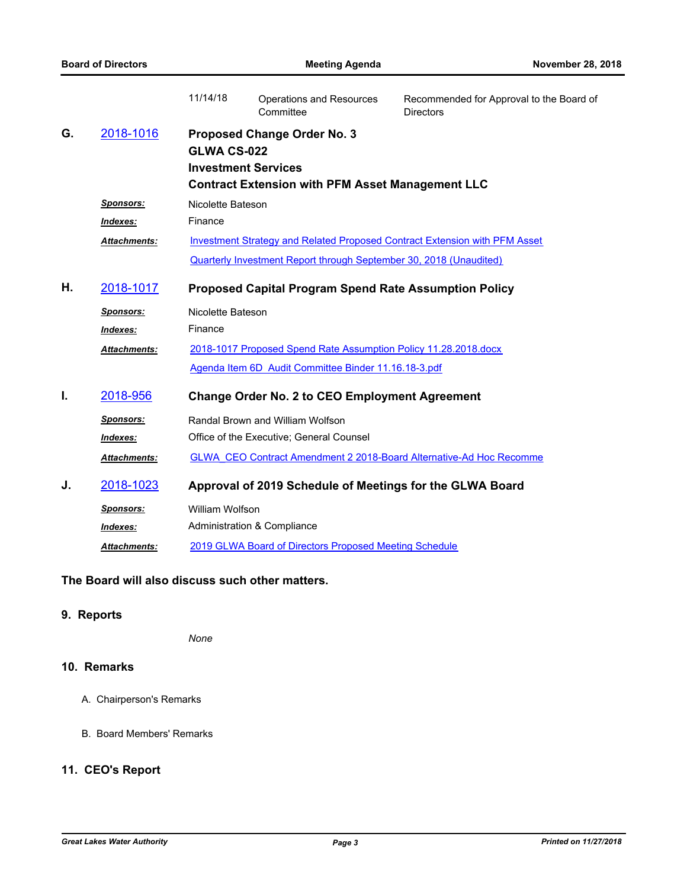|    |                     | 11/14/18                                                                               | <b>Operations and Resources</b><br>Committee                    | Recommended for Approval to the Board of<br><b>Directors</b>               |  |  |  |  |
|----|---------------------|----------------------------------------------------------------------------------------|-----------------------------------------------------------------|----------------------------------------------------------------------------|--|--|--|--|
| G. | 2018-1016           | <b>Proposed Change Order No. 3</b><br><b>GLWA CS-022</b><br><b>Investment Services</b> |                                                                 |                                                                            |  |  |  |  |
|    |                     |                                                                                        |                                                                 |                                                                            |  |  |  |  |
|    |                     | <b>Contract Extension with PFM Asset Management LLC</b>                                |                                                                 |                                                                            |  |  |  |  |
|    | <b>Sponsors:</b>    | Nicolette Bateson                                                                      |                                                                 |                                                                            |  |  |  |  |
|    | Indexes:            | Finance                                                                                |                                                                 |                                                                            |  |  |  |  |
|    | Attachments:        |                                                                                        |                                                                 | Investment Strategy and Related Proposed Contract Extension with PFM Asset |  |  |  |  |
|    |                     | Quarterly Investment Report through September 30, 2018 (Unaudited)                     |                                                                 |                                                                            |  |  |  |  |
| Η. | 2018-1017           | <b>Proposed Capital Program Spend Rate Assumption Policy</b>                           |                                                                 |                                                                            |  |  |  |  |
|    | <b>Sponsors:</b>    | Nicolette Bateson                                                                      |                                                                 |                                                                            |  |  |  |  |
|    | Indexes:            | Finance                                                                                |                                                                 |                                                                            |  |  |  |  |
|    | Attachments:        |                                                                                        | 2018-1017 Proposed Spend Rate Assumption Policy 11.28.2018.docx |                                                                            |  |  |  |  |
|    |                     |                                                                                        | Agenda Item 6D Audit Committee Binder 11.16.18-3.pdf            |                                                                            |  |  |  |  |
| I. | 2018-956            |                                                                                        | <b>Change Order No. 2 to CEO Employment Agreement</b>           |                                                                            |  |  |  |  |
|    | <b>Sponsors:</b>    |                                                                                        | Randal Brown and William Wolfson                                |                                                                            |  |  |  |  |
|    | Indexes:            |                                                                                        | Office of the Executive; General Counsel                        |                                                                            |  |  |  |  |
|    | <b>Attachments:</b> |                                                                                        |                                                                 | GLWA CEO Contract Amendment 2 2018-Board Alternative-Ad Hoc Recomme        |  |  |  |  |
| J. | 2018-1023           | Approval of 2019 Schedule of Meetings for the GLWA Board                               |                                                                 |                                                                            |  |  |  |  |
|    | <b>Sponsors:</b>    | <b>William Wolfson</b>                                                                 |                                                                 |                                                                            |  |  |  |  |
|    | Indexes:            | Administration & Compliance                                                            |                                                                 |                                                                            |  |  |  |  |
|    | <b>Attachments:</b> | 2019 GLWA Board of Directors Proposed Meeting Schedule                                 |                                                                 |                                                                            |  |  |  |  |

### **The Board will also discuss such other matters.**

## **9. Reports**

*None*

## **10. Remarks**

- A. Chairperson's Remarks
- B. Board Members' Remarks

## **11. CEO's Report**